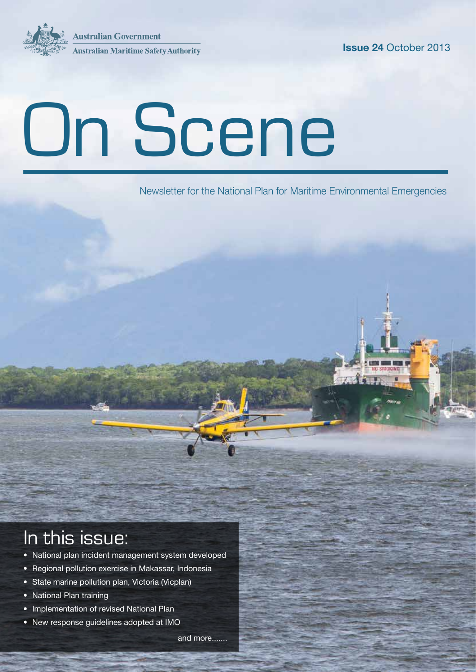**Australian Government Australian Maritime Safety Authority** 



# On Scene

Newsletter for the National Plan for Maritime Environmental Emergencies

### In this issue:

- National plan incident management system developed
- Regional pollution exercise in Makassar, Indonesia
- State marine pollution plan, Victoria (Vicplan)
- National Plan training
- Implementation of revised National Plan
- New response guidelines adopted at IMO

and more.......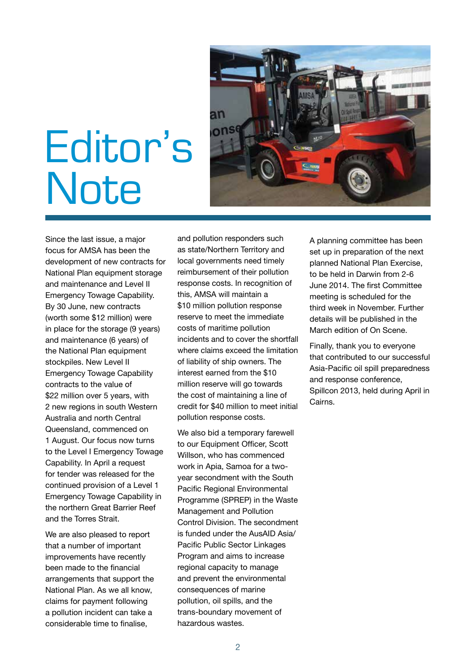

# Editor's **Note**

Since the last issue, a major focus for AMSA has been the development of new contracts for National Plan equipment storage and maintenance and Level II Emergency Towage Capability. By 30 June, new contracts (worth some \$12 million) were in place for the storage (9 years) and maintenance (6 years) of the National Plan equipment stockpiles. New Level II Emergency Towage Capability contracts to the value of \$22 million over 5 years, with 2 new regions in south Western Australia and north Central Queensland, commenced on 1 August. Our focus now turns to the Level I Emergency Towage Capability. In April a request for tender was released for the continued provision of a Level 1 Emergency Towage Capability in the northern Great Barrier Reef and the Torres Strait.

We are also pleased to report that a number of important improvements have recently been made to the financial arrangements that support the National Plan. As we all know, claims for payment following a pollution incident can take a considerable time to finalise,

and pollution responders such as state/Northern Territory and local governments need timely reimbursement of their pollution response costs. In recognition of this, AMSA will maintain a \$10 million pollution response reserve to meet the immediate costs of maritime pollution incidents and to cover the shortfall where claims exceed the limitation of liability of ship owners. The interest earned from the \$10 million reserve will go towards the cost of maintaining a line of credit for \$40 million to meet initial pollution response costs.

We also bid a temporary farewell to our Equipment Officer, Scott Willson, who has commenced work in Apia, Samoa for a twoyear secondment with the South Pacific Regional Environmental Programme (SPREP) in the Waste Management and Pollution Control Division. The secondment is funded under the AusAID Asia/ Pacific Public Sector Linkages Program and aims to increase regional capacity to manage and prevent the environmental consequences of marine pollution, oil spills, and the trans-boundary movement of hazardous wastes.

A planning committee has been set up in preparation of the next planned National Plan Exercise, to be held in Darwin from 2-6 June 2014. The first Committee meeting is scheduled for the third week in November. Further details will be published in the March edition of On Scene.

Finally, thank you to everyone that contributed to our successful Asia-Pacific oil spill preparedness and response conference, Spillcon 2013, held during April in Cairns.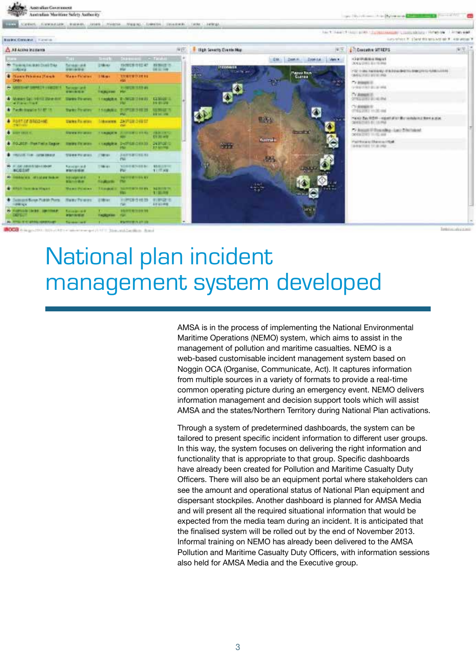| Australian Moritime Safety Authority                                             |                                                               |                                   |                                                                                                        |    | The December August Concerns of Community (Service Co.) |                        |                   |                                                                        |    |
|----------------------------------------------------------------------------------|---------------------------------------------------------------|-----------------------------------|--------------------------------------------------------------------------------------------------------|----|---------------------------------------------------------|------------------------|-------------------|------------------------------------------------------------------------|----|
| <b>COL</b>                                                                       |                                                               |                                   | Carbon, Carbon Lide   Bane-Ri, Colletti, Philette - Maging / Datestin   Collective   Little   Lettings |    |                                                         |                        |                   |                                                                        |    |
|                                                                                  |                                                               |                                   |                                                                                                        |    |                                                         |                        |                   | TACK TANETY TUST BERT TO MAIN MAILED CONSISTENT THREE OR THE WAR       |    |
| Nontrol Controls   Historico                                                     |                                                               |                                   |                                                                                                        |    |                                                         |                        |                   | curry refers to 10 literature and with the P. Least Winger             |    |
| A All Active incidents.                                                          |                                                               |                                   |                                                                                                        | 操作 | High Severity County Map                                |                        | 南国                | <b>County STADS</b>                                                    | 图图 |
|                                                                                  | <b>TIHE</b>                                                   | <b>Street Ford</b>                | <b>Distance - Timber</b>                                                                               |    |                                                         | THE DAMM  DAMINE LINKS |                   | <b>CONVISION ROOM</b><br>2014 6-2110 E. B.V 19 094                     |    |
| O Town In AN Dail De<br><b>SHARAGE</b>                                           | <b>Scolard</b><br>000-000                                     | 218 KV                            | ISOUS \$12.47 ESSAIE III.<br><b>DE 32 148</b>                                                          |    | <b><i>SEEGNALE</i></b><br><b>START MAKER</b>            |                        |                   | 272 中国公共基地基地产资本市场运输管理公司和经济中心产业和国立市场。                                   |    |
| <b>With any Privates Plants</b><br>Oraci                                         | <b>Mass Felales</b>                                           | <b>Liker</b>                      | 12010112133812                                                                                         |    | diam'r.                                                 | Puenza Risin           | 400               | DERIG FIELD BOOK, PAR-<br>the control of the control of the control of |    |
| 49 MEESHAP SMARCH LEWISTED Syncoproced                                           |                                                               |                                   | 21.000 US\$ 5.53 25                                                                                    |    |                                                         |                        |                   | Ty assure it.<br>UNKNOWN BLUE WA                                       |    |
| 4 Money Sal 1012 2004 AVE Starte Painting, 11 August 4 T17002213 6429 (22300213) | <b><i>DISTURBANCE</i></b>                                     | <b><i><u>STALLER HALL</u></i></b> |                                                                                                        |    |                                                         |                        |                   | Cy Assembly<br>OVES SHE SCHOOL                                         |    |
| all baches                                                                       |                                                               |                                   | <b>TIME</b><br>39-91-298                                                                               |    |                                                         |                        |                   | TO ANNATE IT                                                           |    |
| 4 Each topcia 11 87 (5)                                                          |                                                               |                                   | Sales Program 1.5 (Labour, 2107) 312-312-33<br><b>CENTER</b><br>page 1<br><b>START AND</b>             |    |                                                         | O                      |                   | (P&L) (8) 11-30 cm                                                     |    |
| A BOST OF BRIDGER<br><b>THE CHAIR</b>                                            |                                                               |                                   | Variation (decem 1971) 1977<br><b>COL</b>                                                              |    |                                                         | <b>RAW</b>             | <b>Simon</b><br>۰ | 2010年5月10日 10月10日 4月10日 第12日 10月10日 10日 10日<br>2010/07/18 01:15:00     |    |
| <b>Communities</b>                                                               |                                                               |                                   | STANDARD COMPANY TO MANAGEMENT AND A RESIDENCE.<br><b>CONTINUE</b>                                     |    |                                                         | $1 - 4x$               | $\mathcal{A}$     | 7.7 Annual II Boscalina - Lacir CAVISANA<br>2010/27/23 11:10 and       |    |
| 4 20 ALP: Part Felix Separ - Heley Pelanes -                                     |                                                               |                                   | THROUGH INDISEDED AT A POINT<br>2.3 MILTON                                                             |    | <b>STATE</b>                                            | <b>Australia</b>       |                   | Part from a Gluesian High<br>Lake Middle TV at 1962                    |    |
| <b>BE FRONTED FOR CONSUMING</b>                                                  | trees mu grass.                                               |                                   | 3.60775 歳に「日本」まる<br>PM-                                                                                |    |                                                         | dift:                  |                   |                                                                        |    |
| <b>RELATIONS CONTROLLERS</b><br><b>BICGITAT</b>                                  | <b>Kalalana A</b><br><b>ESIVAISM</b>                          | <b>CALLAST</b>                    | 101010-0710039-071-000020-071<br>11:77 AW<br>PM                                                        |    |                                                         |                        |                   |                                                                        |    |
| the distribution of the product of                                               | <b>Individual di</b><br><b><i>Richmond Co.</i></b>            |                                   | <b><i>PACIFIED BILTY</i></b>                                                                           |    |                                                         |                        |                   |                                                                        |    |
| <b>C. Milled Hawaii Milled C.</b>                                                | <b>Money Political</b>                                        | <b>TRANSFER</b>                   | <b><i>INSTRUCTS SEAN TRANSITIONS</i></b><br>1135-76<br><b>STATIST</b>                                  |    |                                                         | -45                    |                   |                                                                        |    |
| Comprison Tublishers Naty Parker, 218 at<br><b>HORRISON</b>                      |                                                               |                                   | 111091291510.25<br><b>FIRST S</b><br><b><i>STATHER</i></b>                                             |    |                                                         |                        |                   |                                                                        |    |
| We Middlebald Livrack International<br><b>CAT Great</b>                          | <b><i><u><i><u>Alizabeth</u></i></u></i></b><br><b>FRIDAY</b> | <b>CARD FOR THE 2</b>             | <b><i><u><i><u><b>DE ROSSER DE STRAITE</b></u></i></u></i></b>                                         |    |                                                         |                        |                   |                                                                        |    |
| ALL REPORT UNITS AND THE CONTROL                                                 | <b>Target and</b>                                             |                                   | <b>RAMISEILER</b>                                                                                      |    |                                                         |                        |                   |                                                                        |    |

### National plan incident management system developed

**Mark Association Processing** 

AMSA is in the process of implementing the National Environmental Maritime Operations (NEMO) system, which aims to assist in the management of pollution and maritime casualties. NEMO is a web-based customisable incident management system based on Noggin OCA (Organise, Communicate, Act). It captures information from multiple sources in a variety of formats to provide a real-time common operating picture during an emergency event. NEMO delivers information management and decision support tools which will assist AMSA and the states/Northern Territory during National Plan activations.

Through a system of predetermined dashboards, the system can be tailored to present specific incident information to different user groups. In this way, the system focuses on delivering the right information and functionality that is appropriate to that group. Specific dashboards have already been created for Pollution and Maritime Casualty Duty Officers. There will also be an equipment portal where stakeholders can see the amount and operational status of National Plan equipment and dispersant stockpiles. Another dashboard is planned for AMSA Media and will present all the required situational information that would be expected from the media team during an incident. It is anticipated that the finalised system will be rolled out by the end of November 2013. Informal training on NEMO has already been delivered to the AMSA Pollution and Maritime Casualty Duty Officers, with information sessions also held for AMSA Media and the Executive group.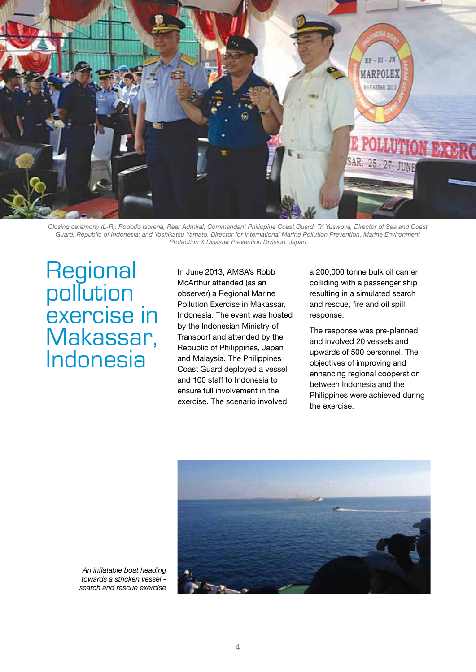

*Closing ceremony (L-R): Rodolfo Isorena, Rear Admiral, Commandant Philippine Coast Guard; Tri Yuswoya, Director of Sea and Coast Guard, Republic of Indonesia; and Yoshikatsu Yamato, Director for International Marine Pollution Prevention, Marine Environment Protection & Disaster Prevention Division, Japan*

**Regional** pollution exercise in Makassar, Indonesia

In June 2013, AMSA's Robb McArthur attended (as an observer) a Regional Marine Pollution Exercise in Makassar, Indonesia. The event was hosted by the Indonesian Ministry of Transport and attended by the Republic of Philippines, Japan and Malaysia. The Philippines Coast Guard deployed a vessel and 100 staff to Indonesia to ensure full involvement in the exercise. The scenario involved

a 200,000 tonne bulk oil carrier colliding with a passenger ship resulting in a simulated search and rescue, fire and oil spill response.

The response was pre-planned and involved 20 vessels and upwards of 500 personnel. The objectives of improving and enhancing regional cooperation between Indonesia and the Philippines were achieved during the exercise.



*An inflatable boat heading towards a stricken vessel search and rescue exercise*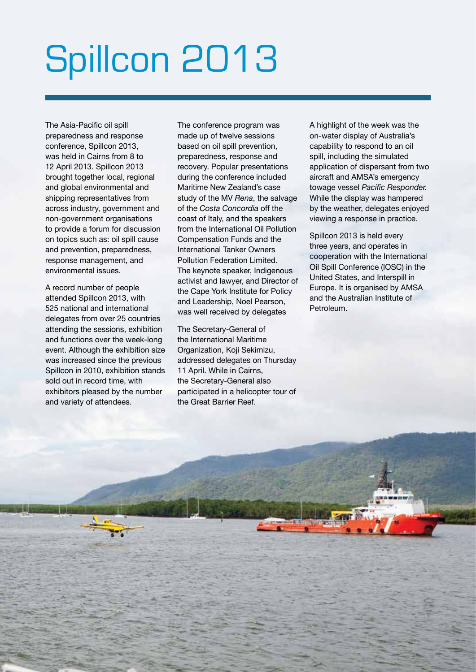# Spillcon 2013

The Asia-Pacific oil spill preparedness and response conference, Spillcon 2013, was held in Cairns from 8 to 12 April 2013. Spillcon 2013 brought together local, regional and global environmental and shipping representatives from across industry, government and non-government organisations to provide a forum for discussion on topics such as: oil spill cause and prevention, preparedness, response management, and environmental issues.

A record number of people attended Spillcon 2013, with 525 national and international delegates from over 25 countries attending the sessions, exhibition and functions over the week-long event. Although the exhibition size was increased since the previous Spillcon in 2010, exhibition stands sold out in record time, with exhibitors pleased by the number and variety of attendees.

The conference program was made up of twelve sessions based on oil spill prevention, preparedness, response and recovery. Popular presentations during the conference included Maritime New Zealand's case study of the MV *Rena*, the salvage of the *Costa Concordia* off the coast of Italy, and the speakers from the International Oil Pollution Compensation Funds and the International Tanker Owners Pollution Federation Limited. The keynote speaker, Indigenous activist and lawyer, and Director of the Cape York Institute for Policy and Leadership, Noel Pearson, was well received by delegates

The Secretary-General of the International Maritime Organization, Koji Sekimizu, addressed delegates on Thursday 11 April. While in Cairns, the Secretary-General also participated in a helicopter tour of the Great Barrier Reef.

5

A highlight of the week was the on-water display of Australia's capability to respond to an oil spill, including the simulated application of dispersant from two aircraft and AMSA's emergency towage vessel *Pacific Responder.* While the display was hampered by the weather, delegates enjoyed viewing a response in practice.

Spillcon 2013 is held every three years, and operates in cooperation with the International Oil Spill Conference (IOSC) in the United States, and Interspill in Europe. It is organised by AMSA and the Australian Institute of **Petroleum**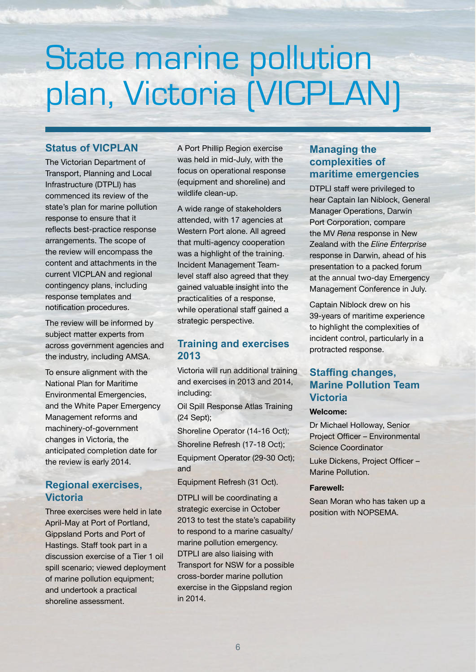### State marine pollution plan, Victoria (VICPLAN)

### **Status of VICPLAN**

The Victorian Department of Transport, Planning and Local Infrastructure (DTPLI) has commenced its review of the state's plan for marine pollution response to ensure that it reflects best-practice response arrangements. The scope of the review will encompass the content and attachments in the current VICPLAN and regional contingency plans, including response templates and notification procedures.

The review will be informed by subject matter experts from across government agencies and the industry, including AMSA.

To ensure alignment with the National Plan for Maritime Environmental Emergencies, and the White Paper Emergency Management reforms and machinery-of-government changes in Victoria, the anticipated completion date for the review is early 2014.

### **Regional exercises, Victoria**

Three exercises were held in late April-May at Port of Portland, Gippsland Ports and Port of Hastings. Staff took part in a discussion exercise of a Tier 1 oil spill scenario; viewed deployment of marine pollution equipment; and undertook a practical shoreline assessment.

A Port Phillip Region exercise was held in mid-July, with the focus on operational response (equipment and shoreline) and wildlife clean-up.

A wide range of stakeholders attended, with 17 agencies at Western Port alone. All agreed that multi-agency cooperation was a highlight of the training. Incident Management Teamlevel staff also agreed that they gained valuable insight into the practicalities of a response, while operational staff gained a strategic perspective.

### **Training and exercises 2013**

Victoria will run additional training and exercises in 2013 and 2014, including:

Oil Spill Response Atlas Training (24 Sept);

Shoreline Operator (14-16 Oct); Shoreline Refresh (17-18 Oct);

Equipment Operator (29-30 Oct); and

Equipment Refresh (31 Oct).

DTPLI will be coordinating a strategic exercise in October 2013 to test the state's capability to respond to a marine casualty/ marine pollution emergency. DTPLI are also liaising with Transport for NSW for a possible cross-border marine pollution exercise in the Gippsland region in 2014.

### **Managing the complexities of maritime emergencies**

DTPLI staff were privileged to hear Captain Ian Niblock, General Manager Operations, Darwin Port Corporation, compare the MV *Rena* response in New Zealand with the *Eline Enterprise*  response in Darwin, ahead of his presentation to a packed forum at the annual two-day Emergency Management Conference in July.

Captain Niblock drew on his 39-years of maritime experience to highlight the complexities of incident control, particularly in a protracted response.

### **Staffing changes, Marine Pollution Team Victoria**

#### **Welcome:**

Dr Michael Holloway, Senior Project Officer – Environmental Science Coordinator

Luke Dickens, Project Officer – Marine Pollution.

#### **Farewell:**

Sean Moran who has taken up a position with NOPSEMA.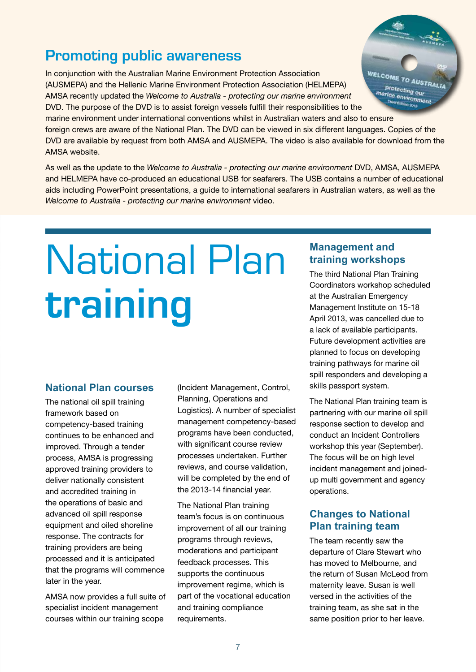### **Promoting public awareness**

In conjunction with the Australian Marine Environment Protection Association (AUSMEPA) and the Hellenic Marine Environment Protection Association (HELMEPA) AMSA recently updated the *Welcome to Australia - protecting our marine environment* DVD. The purpose of the DVD is to assist foreign vessels fulfill their responsibilities to the marine environment under international conventions whilst in Australian waters and also to ensure foreign crews are aware of the National Plan. The DVD can be viewed in six different languages. Copies of the DVD are available by request from both AMSA and AUSMEPA. The video is also available for download from the AMSA website.

As well as the update to the *Welcome to Australia - protecting our marine environment* DVD, AMSA, AUSMEPA and HELMEPA have co-produced an educational USB for seafarers. The USB contains a number of educational aids including PowerPoint presentations, a guide to international seafarers in Australian waters, as well as the *Welcome to Australia - protecting our marine environment* video.

# National Plan **training**

#### **National Plan courses**

The national oil spill training framework based on competency-based training continues to be enhanced and improved. Through a tender process, AMSA is progressing approved training providers to deliver nationally consistent and accredited training in the operations of basic and advanced oil spill response equipment and oiled shoreline response. The contracts for training providers are being processed and it is anticipated that the programs will commence later in the year.

AMSA now provides a full suite of specialist incident management courses within our training scope

(Incident Management, Control, Planning, Operations and Logistics). A number of specialist management competency-based programs have been conducted, with significant course review processes undertaken. Further reviews, and course validation, will be completed by the end of the 2013-14 financial year.

The National Plan training team's focus is on continuous improvement of all our training programs through reviews, moderations and participant feedback processes. This supports the continuous improvement regime, which is part of the vocational education and training compliance requirements.

### **Management and training workshops**

The third National Plan Training Coordinators workshop scheduled at the Australian Emergency Management Institute on 15-18 April 2013, was cancelled due to a lack of available participants. Future development activities are planned to focus on developing training pathways for marine oil spill responders and developing a skills passport system.

The National Plan training team is partnering with our marine oil spill response section to develop and conduct an Incident Controllers workshop this year (September). The focus will be on high level incident management and joinedup multi government and agency operations.

### **Changes to National Plan training team**

The team recently saw the departure of Clare Stewart who has moved to Melbourne, and the return of Susan McLeod from maternity leave. Susan is well versed in the activities of the training team, as she sat in the same position prior to her leave.

WELCOME **AUSTRALIA** Protecting our marine environment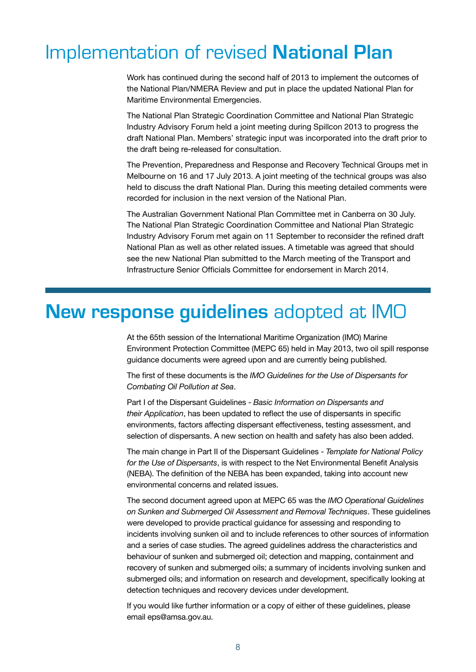### Implementation of revised **National Plan**

Work has continued during the second half of 2013 to implement the outcomes of the National Plan/NMERA Review and put in place the updated National Plan for Maritime Environmental Emergencies.

The National Plan Strategic Coordination Committee and National Plan Strategic Industry Advisory Forum held a joint meeting during Spillcon 2013 to progress the draft National Plan. Members' strategic input was incorporated into the draft prior to the draft being re-released for consultation.

The Prevention, Preparedness and Response and Recovery Technical Groups met in Melbourne on 16 and 17 July 2013. A joint meeting of the technical groups was also held to discuss the draft National Plan. During this meeting detailed comments were recorded for inclusion in the next version of the National Plan.

The Australian Government National Plan Committee met in Canberra on 30 July. The National Plan Strategic Coordination Committee and National Plan Strategic Industry Advisory Forum met again on 11 September to reconsider the refined draft National Plan as well as other related issues. A timetable was agreed that should see the new National Plan submitted to the March meeting of the Transport and Infrastructure Senior Officials Committee for endorsement in March 2014.

### **New response guidelines** adopted at IMO

At the 65th session of the International Maritime Organization (IMO) Marine Environment Protection Committee (MEPC 65) held in May 2013, two oil spill response guidance documents were agreed upon and are currently being published.

The first of these documents is the *IMO Guidelines for the Use of Dispersants for Combating Oil Pollution at Sea*.

Part I of the Dispersant Guidelines - *Basic Information on Dispersants and their Application*, has been updated to reflect the use of dispersants in specific environments, factors affecting dispersant effectiveness, testing assessment, and selection of dispersants. A new section on health and safety has also been added.

The main change in Part II of the Dispersant Guidelines - *Template for National Policy for the Use of Dispersants*, is with respect to the Net Environmental Benefit Analysis (NEBA). The definition of the NEBA has been expanded, taking into account new environmental concerns and related issues.

The second document agreed upon at MEPC 65 was the *IMO Operational Guidelines on Sunken and Submerged Oil Assessment and Removal Techniques*. These guidelines were developed to provide practical guidance for assessing and responding to incidents involving sunken oil and to include references to other sources of information and a series of case studies. The agreed guidelines address the characteristics and behaviour of sunken and submerged oil; detection and mapping, containment and recovery of sunken and submerged oils; a summary of incidents involving sunken and submerged oils; and information on research and development, specifically looking at detection techniques and recovery devices under development.

If you would like further information or a copy of either of these guidelines, please email eps@amsa.gov.au.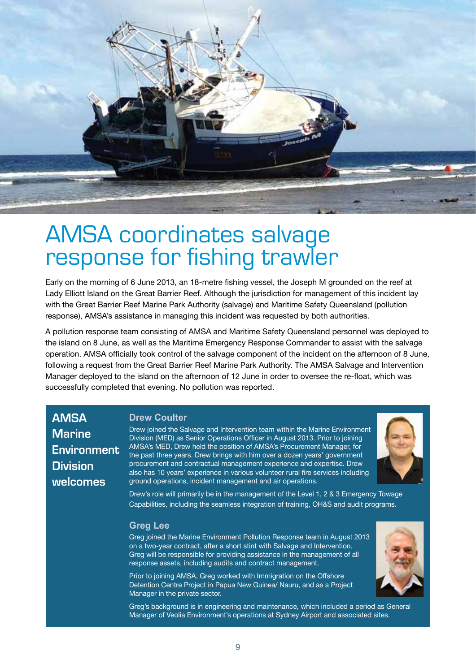

# AMSA coordinates salvage response for fishing trawler

Early on the morning of 6 June 2013, an 18-metre fishing vessel, the Joseph M grounded on the reef at Lady Elliott Island on the Great Barrier Reef. Although the jurisdiction for management of this incident lay with the Great Barrier Reef Marine Park Authority (salvage) and Maritime Safety Queensland (pollution response), AMSA's assistance in managing this incident was requested by both authorities.

A pollution response team consisting of AMSA and Maritime Safety Queensland personnel was deployed to the island on 8 June, as well as the Maritime Emergency Response Commander to assist with the salvage operation. AMSA officially took control of the salvage component of the incident on the afternoon of 8 June, following a request from the Great Barrier Reef Marine Park Authority. The AMSA Salvage and Intervention Manager deployed to the island on the afternoon of 12 June in order to oversee the re-float, which was successfully completed that evening. No pollution was reported.

**AMSA Marine Environment Division welcomes**

### **Drew Coulter**

Drew joined the Salvage and Intervention team within the Marine Environment Division (MED) as Senior Operations Officer in August 2013. Prior to joining AMSA's MED, Drew held the position of AMSA's Procurement Manager, for the past three years. Drew brings with him over a dozen years' government procurement and contractual management experience and expertise. Drew also has 10 years' experience in various volunteer rural fire services including ground operations, incident management and air operations.



Drew's role will primarily be in the management of the Level 1, 2 & 3 Emergency Towage Capabilities, including the seamless integration of training, OH&S and audit programs.

#### **Greg Lee**

Greg joined the Marine Environment Pollution Response team in August 2013 on a two-year contract, after a short stint with Salvage and Intervention. Greg will be responsible for providing assistance in the management of all response assets, including audits and contract management.

Prior to joining AMSA, Greg worked with Immigration on the Offshore Detention Centre Project in Papua New Guinea/ Nauru, and as a Project Manager in the private sector.



Greg's background is in engineering and maintenance, which included a period as General Manager of Veolia Environment's operations at Sydney Airport and associated sites.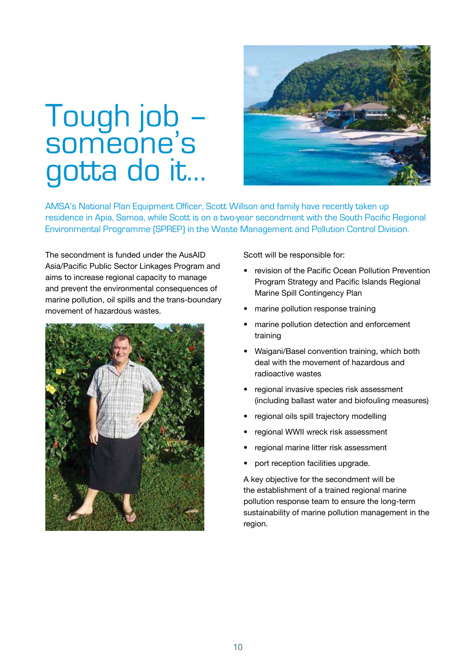### Tough job – someone's gotta do it…



AMSA's National Plan Equipment Officer, Scott Willson and family have recently taken up residence in Apia, Samoa, while Scott is on a two-year secondment with the South Pacific Regional Environmental Programme (SPREP) in the Waste Management and Pollution Control Division.

The secondment is funded under the AusAID Asia/Pacific Public Sector Linkages Program and aims to increase regional capacity to manage and prevent the environmental consequences of marine pollution, oil spills and the trans-boundary movement of hazardous wastes.



Scott will be responsible for:

- revision of the Pacific Ocean Pollution Prevention Program Strategy and Pacific Islands Regional Marine Spill Contingency Plan
- marine pollution response training
- marine pollution detection and enforcement training
- Waigani/Basel convention training, which both deal with the movement of hazardous and radioactive wastes
- regional invasive species risk assessment (including ballast water and biofouling measures)
- regional oils spill trajectory modelling
- regional WWII wreck risk assessment
- regional marine litter risk assessment
- port reception facilities upgrade.

A key objective for the secondment will be the establishment of a trained regional marine pollution response team to ensure the long-term sustainability of marine pollution management in the region.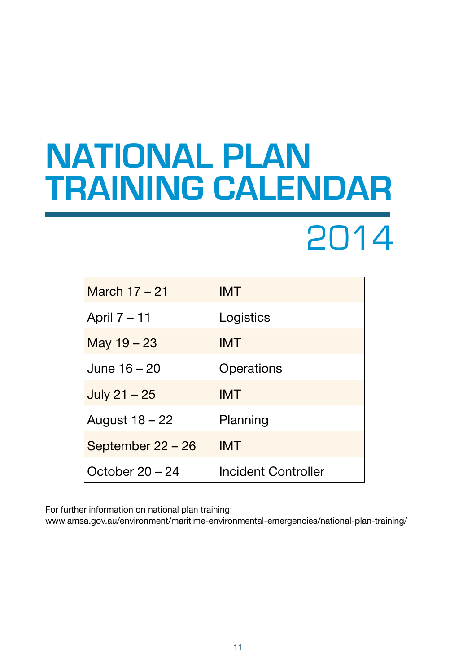### **National Plan training calendar**

### 2014

| March 17 - 21     | <b>IMT</b>                 |
|-------------------|----------------------------|
| April 7 – 11      | Logistics                  |
| May $19 - 23$     | <b>IMT</b>                 |
| June 16 - 20      | Operations                 |
| July $21 - 25$    | <b>IMT</b>                 |
| August 18 – 22    | Planning                   |
| September 22 – 26 | <b>IMT</b>                 |
| October $20 - 24$ | <b>Incident Controller</b> |

For further information on national plan training:

www.amsa.gov.au/environment/maritime-environmental-emergencies/national-plan-training/